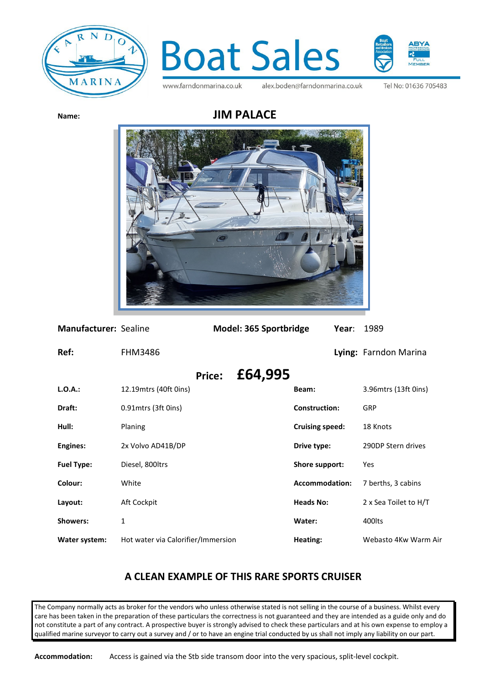



www.farndonmarina.co.uk

alex.boden@farndonmarina.co.uk

Tel No: 01636 705483



| Manufacturer: Sealine |                                    |               | Model: 365 Sportbridge |                        | Year: | 1989                  |
|-----------------------|------------------------------------|---------------|------------------------|------------------------|-------|-----------------------|
| Ref:                  | <b>FHM3486</b>                     |               |                        |                        |       | Lying: Farndon Marina |
|                       |                                    | <b>Price:</b> | £64,995                |                        |       |                       |
| $L.O.A.$ :            | 12.19 mtrs (40ft 0ins)             |               |                        | Beam:                  |       | 3.96 mtrs (13ft 0ins) |
| Draft:                | 0.91 mtrs (3ft 0ins)               |               |                        | <b>Construction:</b>   |       | <b>GRP</b>            |
| Hull:                 | Planing                            |               |                        | <b>Cruising speed:</b> |       | 18 Knots              |
| <b>Engines:</b>       | 2x Volvo AD41B/DP                  |               |                        | Drive type:            |       | 290DP Stern drives    |
| <b>Fuel Type:</b>     | Diesel, 800ltrs                    |               |                        | Shore support:         |       | Yes                   |
| Colour:               | White                              |               |                        | <b>Accommodation:</b>  |       | 7 berths, 3 cabins    |
| Layout:               | Aft Cockpit                        |               |                        | <b>Heads No:</b>       |       | 2 x Sea Toilet to H/T |
| <b>Showers:</b>       | $\mathbf{1}$                       |               |                        | Water:                 |       | 400lts                |
| Water system:         | Hot water via Calorifier/Immersion |               |                        | Heating:               |       | Webasto 4Kw Warm Air  |

## **A CLEAN EXAMPLE OF THIS RARE SPORTS CRUISER**

The Company normally acts as broker for the vendors who unless otherwise stated is not selling in the course of a business. Whilst every care has been taken in the preparation of these particulars the correctness is not guaranteed and they are intended as a guide only and do not constitute a part of any contract. A prospective buyer is strongly advised to check these particulars and at his own expense to employ a qualified marine surveyor to carry out a survey and / or to have an engine trial conducted by us shall not imply any liability on our part.